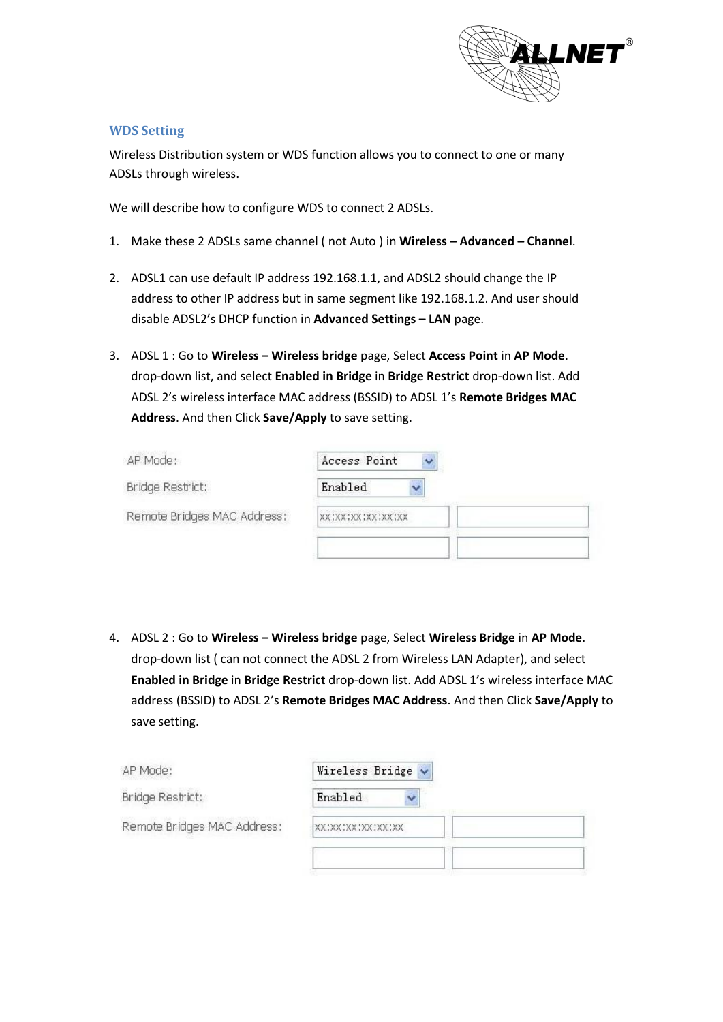

## **WDS Setting**

Wireless Distribution system or WDS function allows you to connect to one or many ADSLs through wireless.

We will describe how to configure WDS to connect 2 ADSLs.

- 1. Make these 2 ADSLs same channel ( not Auto ) in **Wireless – Advanced – Channel**.
- 2. ADSL1 can use default IP address 192.168.1.1, and ADSL2 should change the IP address to other IP address but in same segment like 192.168.1.2. And user should disable ADSL2's DHCP function in **Advanced Settings – LAN** page.
- 3. ADSL 1 : Go to **Wireless – Wireless bridge** page, Select **Access Point** in **AP Mode**. drop-down list, and select **Enabled in Bridge** in **Bridge Restrict** drop-down list. Add ADSL 2's wireless interface MAC address (BSSID) to ADSL 1's **Remote Bridges MAC Address**. And then Click **Save/Apply** to save setting.

| AP Mode:                    | Access Point         |  |
|-----------------------------|----------------------|--|
| Bridge Restrict:            | Enabled              |  |
| Remote Bridges MAC Address: | XX:XX:XX:XX:XX:XX:XX |  |
|                             |                      |  |

4. ADSL 2 : Go to **Wireless – Wireless bridge** page, Select **Wireless Bridge** in **AP Mode**. drop-down list ( can not connect the ADSL 2 from Wireless LAN Adapter), and select **Enabled in Bridge** in **Bridge Restrict** drop-down list. Add ADSL 1's wireless interface MAC address (BSSID) to ADSL 2's **Remote Bridges MAC Address**. And then Click **Save/Apply** to save setting.

| AP Mode:                    | Wireless Bridge v             |  |
|-----------------------------|-------------------------------|--|
| Bridge Restrict:            | Enabled                       |  |
| Remote Bridges MAC Address: | <b>XX: XX: XX: XX: XX: XX</b> |  |
|                             |                               |  |